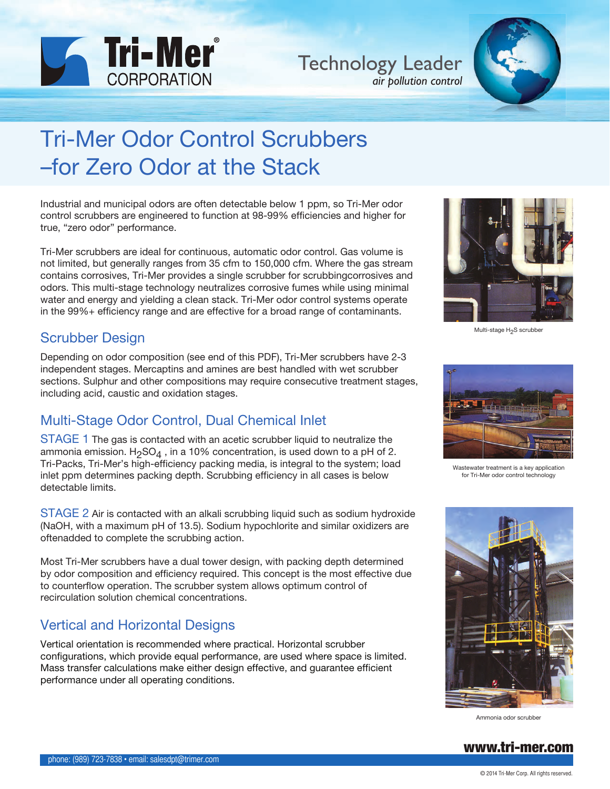

Technology Leader *air pollution control*



# Tri-Mer Odor Control Scrubbers –for Zero Odor at the Stack

Industrial and municipal odors are often detectable below 1 ppm, so Tri-Mer odor control scrubbers are engineered to function at 98-99% efficiencies and higher for true, "zero odor" performance.

Tri-Mer scrubbers are ideal for continuous, automatic odor control. Gas volume is not limited, but generally ranges from 35 cfm to 150,000 cfm. Where the gas stream contains corrosives, Tri-Mer provides a single scrubber for scrubbingcorrosives and odors. This multi-stage technology neutralizes corrosive fumes while using minimal water and energy and yielding a clean stack. Tri-Mer odor control systems operate in the 99%+ efficiency range and are effective for a broad range of contaminants.

#### Scrubber Design

Depending on odor composition (see end of this PDF), Tri-Mer scrubbers have 2-3 independent stages. Mercaptins and amines are best handled with wet scrubber sections. Sulphur and other compositions may require consecutive treatment stages, including acid, caustic and oxidation stages.

# Multi-Stage Odor Control, Dual Chemical Inlet

STAGE 1 The gas is contacted with an acetic scrubber liquid to neutralize the ammonia emission. H<sub>2</sub>SO<sub>4</sub>, in a 10% concentration, is used down to a pH of 2. Tri-Packs, Tri-Mer's high-efficiency packing media, is integral to the system; load inlet ppm determines packing depth. Scrubbing efficiency in all cases is below detectable limits.

STAGE 2 Air is contacted with an alkali scrubbing liquid such as sodium hydroxide (NaOH, with a maximum pH of 13.5). Sodium hypochlorite and similar oxidizers are oftenadded to complete the scrubbing action.

Most Tri-Mer scrubbers have a dual tower design, with packing depth determined by odor composition and efficiency required. This concept is the most effective due to counterflow operation. The scrubber system allows optimum control of recirculation solution chemical concentrations.

### Vertical and Horizontal Designs

Vertical orientation is recommended where practical. Horizontal scrubber configurations, which provide equal performance, are used where space is limited. Mass transfer calculations make either design effective, and guarantee efficient performance under all operating conditions.



Multi-stage H<sub>2</sub>S scrubber



Wastewater treatment is a key application for Tri-Mer odor control technology



Ammonia odor scrubber

#### [www.tri-mer.com](http://www.tri-mer.com/index.html)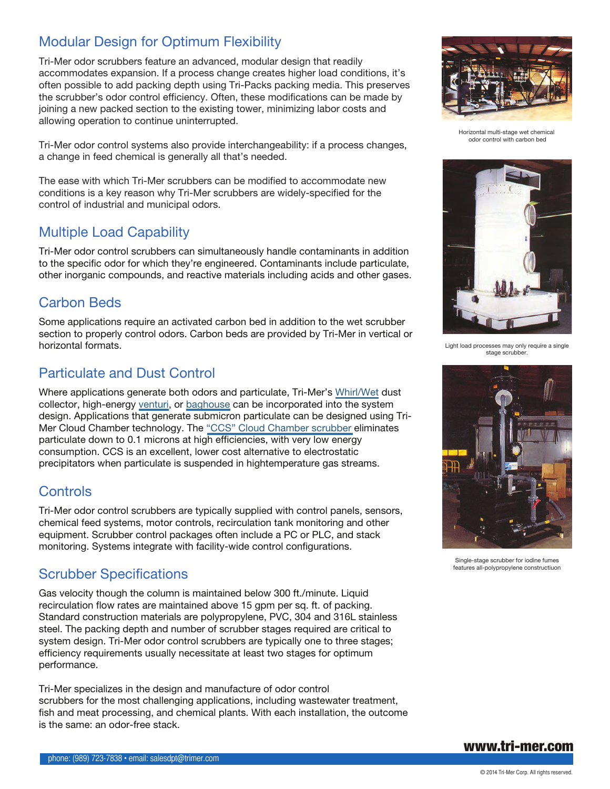# Modular Design for Optimum Flexibility

Tri-Mer odor scrubbers feature an advanced, modular design that readily accommodates expansion. If a process change creates higher load conditions, it's often possible to add packing depth using Tri-Packs packing media. This preserves the scrubber's odor control efficiency. Often, these modifications can be made by joining a new packed section to the existing tower, minimizing labor costs and allowing operation to continue uninterrupted.

Tri-Mer odor control systems also provide interchangeability: if a process changes, a change in feed chemical is generally all that's needed.

The ease with which Tri-Mer scrubbers can be modified to accommodate new conditions is a key reason why Tri-Mer scrubbers are widely-specified for the control of industrial and municipal odors.

### Multiple Load Capability

Tri-Mer odor control scrubbers can simultaneously handle contaminants in addition to the specific odor for which they're engineered. Contaminants include particulate, other inorganic compounds, and reactive materials including acids and other gases.

## Carbon Beds

Some applications require an activated carbon bed in addition to the wet scrubber section to properly control odors. Carbon beds are provided by Tri-Mer in vertical or horizontal formats.

## Particulate and Dust Control

Where applications generate both odors and particulate, Tri-Mer's [Whirl/Wet](http://www.tri-mer.com/dust_collection.html) dust collector, high-energy [venturi](http://www.tri-mer.com/venturi-scrubbers.html), or [baghouse](http://www.tri-mer.com/baghouse_dust_collection.html) can be incorporated into the system design. Applications that generate submicron particulate can be designed using Tri-Mer Cloud Chamber technology. The ["CCS" Cloud Chamber scrubber](http://www.tri-mer.com/wet_scrubber.html) eliminates particulate down to 0.1 microns at high efficiencies, with very low energy consumption. CCS is an excellent, lower cost alternative to electrostatic precipitators when particulate is suspended in hightemperature gas streams.

#### **Controls**

Tri-Mer odor control scrubbers are typically supplied with control panels, sensors, chemical feed systems, motor controls, recirculation tank monitoring and other equipment. Scrubber control packages often include a PC or PLC, and stack monitoring. Systems integrate with facility-wide control configurations.

#### Scrubber Specifications

Gas velocity though the column is maintained below 300 ft./minute. Liquid recirculation flow rates are maintained above 15 gpm per sq. ft. of packing. Standard construction materials are polypropylene, PVC, 304 and 316L stainless steel. The packing depth and number of scrubber stages required are critical to system design. Tri-Mer odor control scrubbers are typically one to three stages; efficiency requirements usually necessitate at least two stages for optimum performance.

Tri-Mer specializes in the design and manufacture of odor control scrubbers for the most challenging applications, including wastewater treatment, fish and meat processing, and chemical plants. With each installation, the outcome is the same: an odor-free stack.



Horizontal multi-stage wet chemical odor control with carbon bed



Light load processes may only require a single stage scrubber.



Single-stage scrubber for iodine fumes features all-polypropylene constructiuon